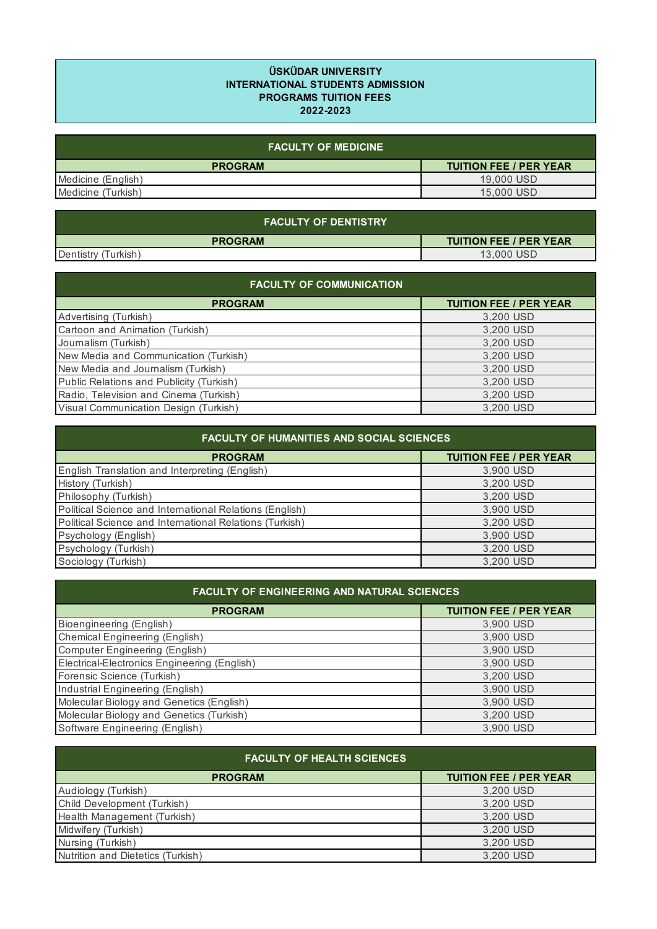## **ÜSKÜDAR UNIVERSITY INTERNATIONAL STUDENTS ADMISSION PROGRAMS TUITION FEES 2022-2023**

| <b>FACULTY OF MEDICINE P</b> |                               |
|------------------------------|-------------------------------|
| <b>PROGRAM</b>               | <b>TUITION FEE / PER YEAR</b> |
| Medicine (English)           | 19,000 USD                    |
| Medicine (Turkish)           | 15,000 USD                    |

| <b>FACULTY OF DENTISTRY</b> |                               |
|-----------------------------|-------------------------------|
| <b>PROGRAM</b>              | <b>TUITION FEE / PER YEAR</b> |
| Dentistry<br>(Turkish`      | 13,000 USD                    |

| <b>FACULTY OF COMMUNICATION</b>          |                               |
|------------------------------------------|-------------------------------|
| <b>PROGRAM</b>                           | <b>TUITION FEE / PER YEAR</b> |
| Advertising (Turkish)                    | 3,200 USD                     |
| Cartoon and Animation (Turkish)          | 3,200 USD                     |
| Journalism (Turkish)                     | 3,200 USD                     |
| New Media and Communication (Turkish)    | 3,200 USD                     |
| New Media and Journalism (Turkish)       | 3,200 USD                     |
| Public Relations and Publicity (Turkish) | 3,200 USD                     |
| Radio, Television and Cinema (Turkish)   | 3,200 USD                     |
| Visual Communication Design (Turkish)    | 3,200 USD                     |

| <b>FACULTY OF HUMANITIES AND SOCIAL SCIENCES</b>        |                               |
|---------------------------------------------------------|-------------------------------|
| <b>PROGRAM</b>                                          | <b>TUITION FEE / PER YEAR</b> |
| English Translation and Interpreting (English)          | 3,900 USD                     |
| History (Turkish)                                       | 3,200 USD                     |
| Philosophy (Turkish)                                    | 3,200 USD                     |
| Political Science and International Relations (English) | 3,900 USD                     |
| Political Science and International Relations (Turkish) | 3,200 USD                     |
| Psychology (English)                                    | 3,900 USD                     |
| Psychology (Turkish)                                    | 3,200 USD                     |
| Sociology (Turkish)                                     | 3,200 USD                     |

| <b>FACULTY OF ENGINEERING AND NATURAL SCIENCES</b> |           |
|----------------------------------------------------|-----------|
| <b>TUITION FEE / PER YEAR</b><br><b>PROGRAM</b>    |           |
| <b>Bioengineering (English)</b>                    | 3,900 USD |
| Chemical Engineering (English)                     | 3,900 USD |
| <b>Computer Engineering (English)</b>              | 3,900 USD |
| Electrical-Electronics Engineering (English)       | 3,900 USD |
| Forensic Science (Turkish)                         | 3,200 USD |
| Industrial Engineering (English)                   | 3,900 USD |
| Molecular Biology and Genetics (English)           | 3,900 USD |
| Molecular Biology and Genetics (Turkish)           | 3,200 USD |
| Software Engineering (English)                     | 3,900 USD |

| <b>FACULTY OF HEALTH SCIENCES</b> |                               |
|-----------------------------------|-------------------------------|
| <b>PROGRAM</b>                    | <b>TUITION FEE / PER YEAR</b> |
| Audiology (Turkish)               | 3,200 USD                     |
| Child Development (Turkish)       | 3,200 USD                     |
| Health Management (Turkish)       | 3,200 USD                     |
| Midwifery (Turkish)               | 3.200 USD                     |
| Nursing (Turkish)                 | 3.200 USD                     |
| Nutrition and Dietetics (Turkish) | 3,200 USD                     |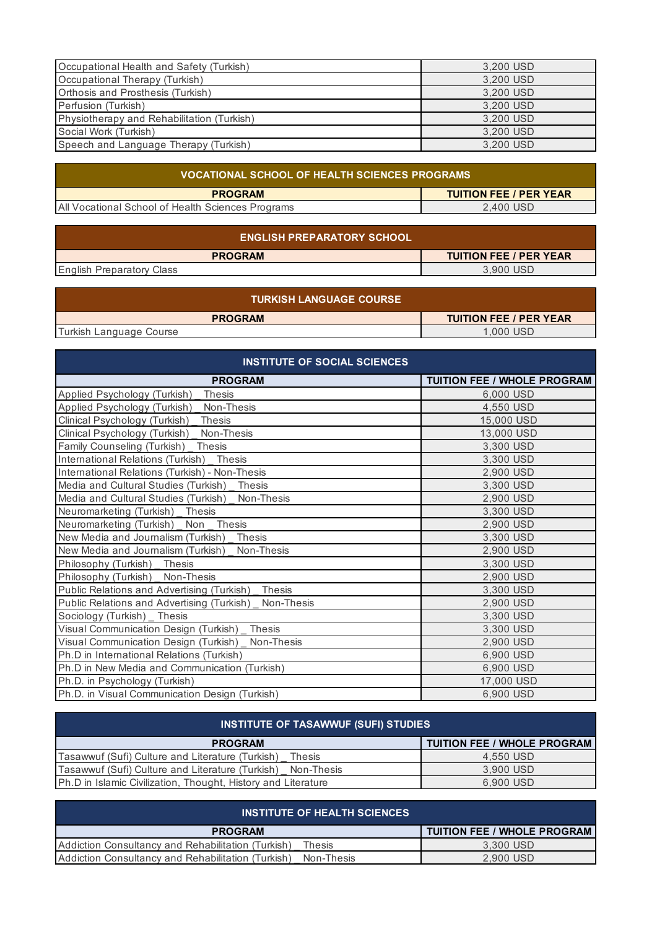| Occupational Health and Safety (Turkish)   | 3,200 USD |
|--------------------------------------------|-----------|
| Occupational Therapy (Turkish)             | 3.200 USD |
| Orthosis and Prosthesis (Turkish)          | 3,200 USD |
| Perfusion (Turkish)                        | 3,200 USD |
| Physiotherapy and Rehabilitation (Turkish) | 3,200 USD |
| Social Work (Turkish)                      | 3,200 USD |
| Speech and Language Therapy (Turkish)      | 3,200 USD |

| VOCATIONAL SCHOOL OF HEALTH SCIENCES PROGRAMS     |                               |
|---------------------------------------------------|-------------------------------|
| <b>PROGRAM</b>                                    | <b>TUITION FEE / PER YEAR</b> |
| All Vocational School of Health Sciences Programs | 2.400 USD                     |

| <b>ENGLISH PREPARATORY SCHOOL</b> |                               |
|-----------------------------------|-------------------------------|
| <b>PROGRAM</b>                    | <b>TUITION FEE / PER YEAR</b> |
| <b>English Preparatory Class</b>  | 3.900 USD                     |

| <b>TURKISH LANGUAGE COURSE '</b> |                               |
|----------------------------------|-------------------------------|
| <b>PROGRAM</b>                   | <b>TUITION FEE / PER YEAR</b> |
| Turkish Language Course          | 1.000 USD                     |

| <b>INSTITUTE OF SOCIAL SCIENCES</b>                      |                                    |
|----------------------------------------------------------|------------------------------------|
| <b>PROGRAM</b>                                           | <b>TUITION FEE / WHOLE PROGRAM</b> |
| Applied Psychology (Turkish)<br><b>Thesis</b>            | 6,000 USD                          |
| Applied Psychology (Turkish) _<br>Non-Thesis             | 4,550 USD                          |
| <b>Thesis</b><br>Clinical Psychology (Turkish)           | 15,000 USD                         |
| Clinical Psychology (Turkish) _ Non-Thesis               | 13,000 USD                         |
| Family Counseling (Turkish) Thesis                       | 3,300 USD                          |
| International Relations (Turkish) _ Thesis               | 3,300 USD                          |
| International Relations (Turkish) - Non-Thesis           | 2,900 USD                          |
| Media and Cultural Studies (Turkish) Thesis              | 3,300 USD                          |
| Media and Cultural Studies (Turkish) Non-Thesis          | 2,900 USD                          |
| Neuromarketing (Turkish) Thesis                          | 3.300 USD                          |
| Neuromarketing (Turkish) _ Non _ Thesis                  | 2,900 USD                          |
| New Media and Journalism (Turkish) Thesis                | 3,300 USD                          |
| New Media and Journalism (Turkish) Non-Thesis            | 2,900 USD                          |
| Philosophy (Turkish) Thesis                              | 3,300 USD                          |
| Philosophy (Turkish) _ Non-Thesis                        | 2,900 USD                          |
| Public Relations and Advertising (Turkish) Thesis        | 3,300 USD                          |
| Public Relations and Advertising (Turkish)<br>Non-Thesis | 2,900 USD                          |
| Sociology (Turkish) Thesis                               | 3,300 USD                          |
| Visual Communication Design (Turkish) _ Thesis           | 3,300 USD                          |
| Visual Communication Design (Turkish)<br>Non-Thesis      | 2,900 USD                          |
| Ph.D in International Relations (Turkish)                | 6,900 USD                          |
| Ph.D in New Media and Communication (Turkish)            | 6,900 USD                          |
| Ph.D. in Psychology (Turkish)                            | 17,000 USD                         |
| Ph.D. in Visual Communication Design (Turkish)           | 6,900 USD                          |

| <b>INSTITUTE OF TASAWWUF (SUFI) STUDIES</b>                    |                                    |
|----------------------------------------------------------------|------------------------------------|
| <b>PROGRAM</b>                                                 | <b>TUITION FEE / WHOLE PROGRAM</b> |
| Tasawwuf (Sufi) Culture and Literature (Turkish)<br>Thesis     | 4,550 USD                          |
| Tasawwuf (Sufi) Culture and Literature (Turkish)<br>Non-Thesis | 3.900 USD                          |
| Ph.D in Islamic Civilization, Thought, History and Literature  | 6,900 USD                          |

| <b>INSTITUTE OF HEALTH SCIENCES</b>                              |                               |
|------------------------------------------------------------------|-------------------------------|
| <b>PROGRAM</b>                                                   | I TUITION FEE / WHOLE PROGRAM |
| Addiction Consultancy and Rehabilitation (Turkish)<br>Thesis     | 3.300 USD                     |
| Addiction Consultancy and Rehabilitation (Turkish)<br>Non-Thesis | 2.900 USD                     |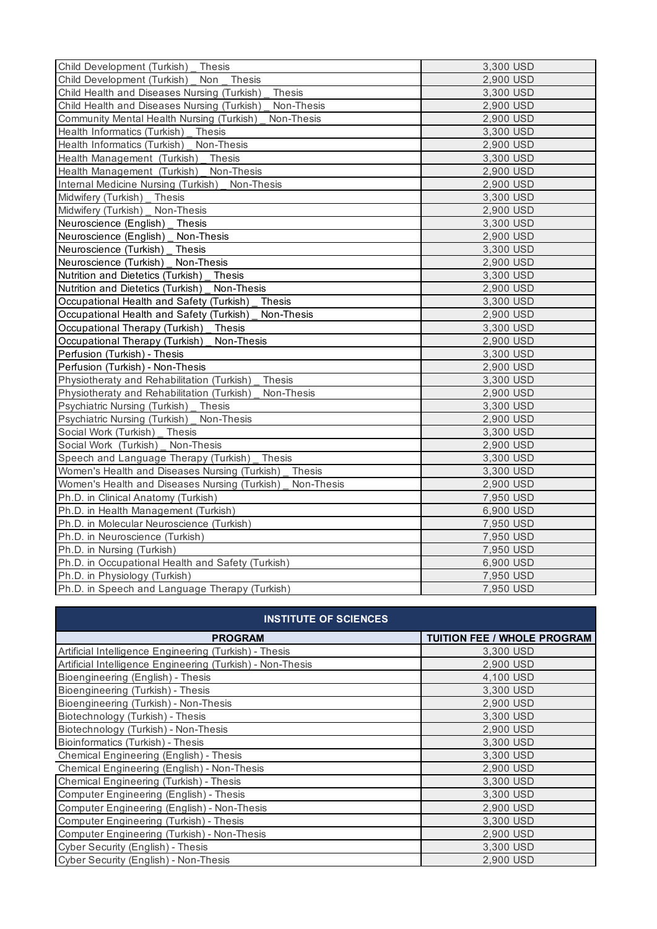| Child Development (Turkish) _ Thesis                      | 3,300 USD |
|-----------------------------------------------------------|-----------|
| Child Development (Turkish) _ Non _ Thesis                | 2,900 USD |
| Child Health and Diseases Nursing (Turkish)<br>Thesis     | 3,300 USD |
| Child Health and Diseases Nursing (Turkish)<br>Non-Thesis | 2,900 USD |
| Community Mental Health Nursing (Turkish)<br>Non-Thesis   | 2,900 USD |
| Health Informatics (Turkish) _ Thesis                     | 3,300 USD |
| Health Informatics (Turkish) Non-Thesis                   | 2,900 USD |
| Health Management (Turkish) _ Thesis                      | 3,300 USD |
| Health Management (Turkish) _ Non-Thesis                  | 2,900 USD |
| Internal Medicine Nursing (Turkish) _ Non-Thesis          | 2,900 USD |
| Midwifery (Turkish) Thesis                                | 3,300 USD |
| Midwifery (Turkish) _ Non-Thesis                          | 2,900 USD |
| Neuroscience (English) Thesis                             | 3,300 USD |
| Neuroscience (English) _ Non-Thesis                       | 2,900 USD |
| Neuroscience (Turkish) Thesis                             | 3,300 USD |
| Neuroscience (Turkish) Non-Thesis                         | 2,900 USD |
| Nutrition and Dietetics (Turkish) Thesis                  | 3,300 USD |
| Nutrition and Dietetics (Turkish) Non-Thesis              | 2,900 USD |
| Occupational Health and Safety (Turkish) _ Thesis         | 3,300 USD |
| Occupational Health and Safety (Turkish) Non-Thesis       | 2,900 USD |
| Occupational Therapy (Turkish) _ Thesis                   | 3,300 USD |
| Occupational Therapy (Turkish) _ Non-Thesis               | 2,900 USD |
| Perfusion (Turkish) - Thesis                              | 3,300 USD |
| Perfusion (Turkish) - Non-Thesis                          | 2,900 USD |
| Physiotheraty and Rehabilitation (Turkish) _ Thesis       | 3,300 USD |
| Physiotheraty and Rehabilitation (Turkish)<br>Non-Thesis  | 2,900 USD |
| Psychiatric Nursing (Turkish) Thesis                      | 3,300 USD |
| Psychiatric Nursing (Turkish) Non-Thesis                  | 2,900 USD |
| Social Work (Turkish) Thesis                              | 3,300 USD |
| Social Work (Turkish) Non-Thesis                          | 2,900 USD |
| Speech and Language Therapy (Turkish) Thesis              | 3,300 USD |
| Women's Health and Diseases Nursing (Turkish) Thesis      | 3,300 USD |
| Women's Health and Diseases Nursing (Turkish) Non-Thesis  | 2,900 USD |
| Ph.D. in Clinical Anatomy (Turkish)                       | 7,950 USD |
| Ph.D. in Health Management (Turkish)                      | 6,900 USD |
| Ph.D. in Molecular Neuroscience (Turkish)                 | 7,950 USD |
| Ph.D. in Neuroscience (Turkish)                           | 7,950 USD |
| Ph.D. in Nursing (Turkish)                                | 7,950 USD |
| Ph.D. in Occupational Health and Safety (Turkish)         | 6,900 USD |
| Ph.D. in Physiology (Turkish)                             | 7,950 USD |
| Ph.D. in Speech and Language Therapy (Turkish)            | 7,950 USD |

| <b>INSTITUTE OF SCIENCES</b>                               |                                    |
|------------------------------------------------------------|------------------------------------|
| <b>PROGRAM</b>                                             | <b>TUITION FEE / WHOLE PROGRAM</b> |
| Artificial Intelligence Engineering (Turkish) - Thesis     | 3,300 USD                          |
| Artificial Intelligence Engineering (Turkish) - Non-Thesis | 2,900 USD                          |
| Bioengineering (English) - Thesis                          | 4.100 USD                          |
| Bioengineering (Turkish) - Thesis                          | 3.300 USD                          |
| Bioengineering (Turkish) - Non-Thesis                      | 2,900 USD                          |
| Biotechnology (Turkish) - Thesis                           | 3,300 USD                          |
| Biotechnology (Turkish) - Non-Thesis                       | 2,900 USD                          |
| Bioinformatics (Turkish) - Thesis                          | 3,300 USD                          |
| Chemical Engineering (English) - Thesis                    | 3,300 USD                          |
| Chemical Engineering (English) - Non-Thesis                | 2,900 USD                          |
| Chemical Engineering (Turkish) - Thesis                    | 3,300 USD                          |
| Computer Engineering (English) - Thesis                    | 3.300 USD                          |
| Computer Engineering (English) - Non-Thesis                | 2,900 USD                          |
| Computer Engineering (Turkish) - Thesis                    | 3,300 USD                          |
| Computer Engineering (Turkish) - Non-Thesis                | 2,900 USD                          |
| Cyber Security (English) - Thesis                          | 3,300 USD                          |
| Cyber Security (English) - Non-Thesis                      | 2,900 USD                          |